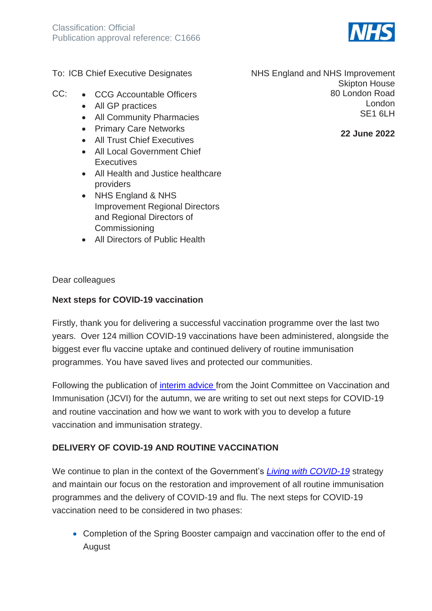

To: ICB Chief Executive Designates

- CC: CCG Accountable Officers
	- All GP practices
	- All Community Pharmacies
	- Primary Care Networks
	- All Trust Chief Executives
	- All Local Government Chief **Executives**
	- All Health and Justice healthcare providers
	- NHS England & NHS Improvement Regional Directors and Regional Directors of Commissioning
	- All Directors of Public Health

Dear colleagues

#### **Next steps for COVID-19 vaccination**

Firstly, thank you for delivering a successful vaccination programme over the last two years. Over 124 million COVID-19 vaccinations have been administered, alongside the biggest ever flu vaccine uptake and continued delivery of routine immunisation programmes. You have saved lives and protected our communities.

Following the publication of [interim advice](https://www.gov.uk/government/news/jcvi-provides-interim-advice-on-an-autumn-covid-19-booster-programme) from the Joint Committee on Vaccination and Immunisation (JCVI) for the autumn, we are writing to set out next steps for COVID-19 and routine vaccination and how we want to work with you to develop a future vaccination and immunisation strategy.

#### **DELIVERY OF COVID-19 AND ROUTINE VACCINATION**

We continue to plan in the context of the Government's *[Living with COVID-19](https://www.gov.uk/government/publications/covid-19-response-living-with-covid-19)* strategy and maintain our focus on the restoration and improvement of all routine immunisation programmes and the delivery of COVID-19 and flu. The next steps for COVID-19 vaccination need to be considered in two phases:

• Completion of the Spring Booster campaign and vaccination offer to the end of August

NHS England and NHS Improvement Skipton House 80 London Road London SE1 6LH

**22 June 2022**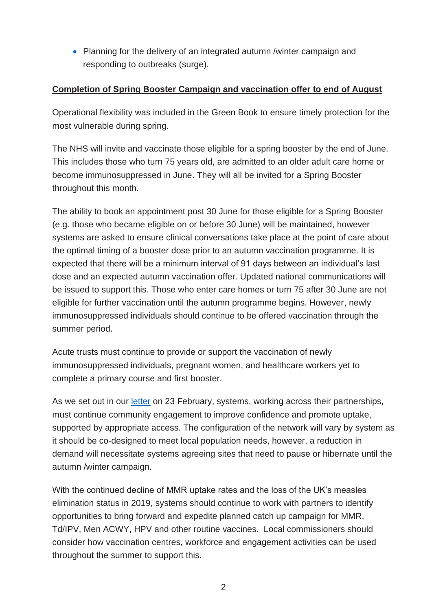• Planning for the delivery of an integrated autumn /winter campaign and responding to outbreaks (surge).

## **Completion of Spring Booster Campaign and vaccination offer to end of August**

Operational flexibility was included in the Green Book to ensure timely protection for the most vulnerable during spring.

The NHS will invite and vaccinate those eligible for a spring booster by the end of June. This includes those who turn 75 years old, are admitted to an older adult care home or become immunosuppressed in June. They will all be invited for a Spring Booster throughout this month.

The ability to book an appointment post 30 June for those eligible for a Spring Booster (e.g. those who became eligible on or before 30 June) will be maintained, however systems are asked to ensure clinical conversations take place at the point of care about the optimal timing of a booster dose prior to an autumn vaccination programme. It is expected that there will be a minimum interval of 91 days between an individual's last dose and an expected autumn vaccination offer. Updated national communications will be issued to support this. Those who enter care homes or turn 75 after 30 June are not eligible for further vaccination until the autumn programme begins. However, newly immunosuppressed individuals should continue to be offered vaccination through the summer period.

Acute trusts must continue to provide or support the vaccination of newly immunosuppressed individuals, pregnant women, and healthcare workers yet to complete a primary course and first booster.

As we set out in our [letter](https://www.england.nhs.uk/coronavirus/publication/next-steps-for-the-nhs-covid-19-vaccination-programme-planning-and-delivery/) on 23 February, systems, working across their partnerships, must continue community engagement to improve confidence and promote uptake, supported by appropriate access. The configuration of the network will vary by system as it should be co-designed to meet local population needs, however, a reduction in demand will necessitate systems agreeing sites that need to pause or hibernate until the autumn /winter campaign.

With the continued decline of MMR uptake rates and the loss of the UK's measles elimination status in 2019, systems should continue to work with partners to identify opportunities to bring forward and expedite planned catch up campaign for MMR, Td/IPV, Men ACWY, HPV and other routine vaccines. Local commissioners should consider how vaccination centres, workforce and engagement activities can be used throughout the summer to support this.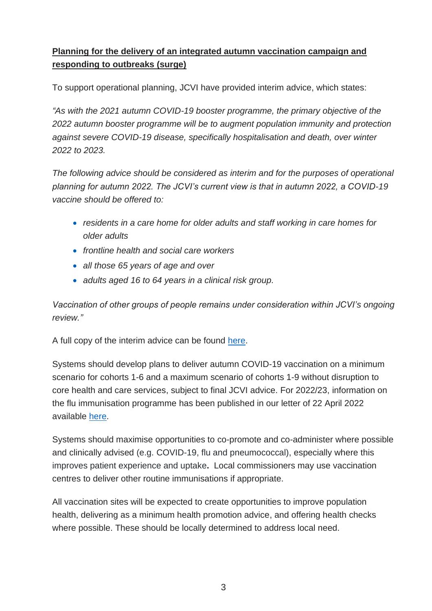# **Planning for the delivery of an integrated autumn vaccination campaign and responding to outbreaks (surge)**

To support operational planning, JCVI have provided interim advice, which states:

*"As with the 2021 autumn COVID-19 booster programme, the primary objective of the 2022 autumn booster programme will be to augment population immunity and protection against severe COVID-19 disease, specifically hospitalisation and death, over winter 2022 to 2023.* 

*The following advice should be considered as interim and for the purposes of operational planning for autumn 2022. The JCVI's current view is that in autumn 2022, a COVID-19 vaccine should be offered to:*

- *residents in a care home for older adults and staff working in care homes for older adults*
- *frontline health and social care workers*
- *all those 65 years of age and over*
- *adults aged 16 to 64 years in a clinical risk group.*

*Vaccination of other groups of people remains under consideration within JCVI's ongoing review."* 

A full copy of the interim advice can be found [here.](https://www.gov.uk/government/news/jcvi-provides-interim-advice-on-an-autumn-covid-19-booster-programme)

Systems should develop plans to deliver autumn COVID-19 vaccination on a minimum scenario for cohorts 1-6 and a maximum scenario of cohorts 1-9 without disruption to core health and care services, subject to final JCVI advice. For 2022/23, information on the flu immunisation programme has been published in our letter of 22 April 2022 available [here.](https://www.gov.uk/government/publications/national-flu-immunisation-programme-plan/national-flu-immunisation-programme-2022-to-2023-letter)

Systems should maximise opportunities to co-promote and co-administer where possible and clinically advised (e.g. COVID-19, flu and pneumococcal), especially where this improves patient experience and uptake**.** Local commissioners may use vaccination centres to deliver other routine immunisations if appropriate.

All vaccination sites will be expected to create opportunities to improve population health, delivering as a minimum health promotion advice, and offering health checks where possible. These should be locally determined to address local need.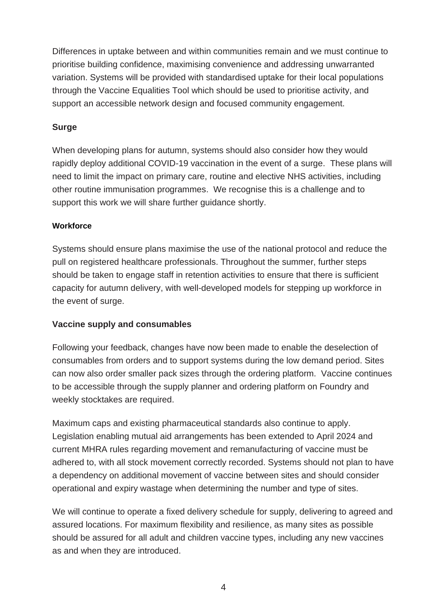Differences in uptake between and within communities remain and we must continue to prioritise building confidence, maximising convenience and addressing unwarranted variation. Systems will be provided with standardised uptake for their local populations through the Vaccine Equalities Tool which should be used to prioritise activity, and support an accessible network design and focused community engagement.

## **Surge**

When developing plans for autumn, systems should also consider how they would rapidly deploy additional COVID-19 vaccination in the event of a surge. These plans will need to limit the impact on primary care, routine and elective NHS activities, including other routine immunisation programmes. We recognise this is a challenge and to support this work we will share further guidance shortly.

#### **Workforce**

Systems should ensure plans maximise the use of the national protocol and reduce the pull on registered healthcare professionals. Throughout the summer, further steps should be taken to engage staff in retention activities to ensure that there is sufficient capacity for autumn delivery, with well-developed models for stepping up workforce in the event of surge.

#### **Vaccine supply and consumables**

Following your feedback, changes have now been made to enable the deselection of consumables from orders and to support systems during the low demand period. Sites can now also order smaller pack sizes through the ordering platform. Vaccine continues to be accessible through the supply planner and ordering platform on Foundry and weekly stocktakes are required.

Maximum caps and existing pharmaceutical standards also continue to apply. Legislation enabling mutual aid arrangements has been extended to April 2024 and current MHRA rules regarding movement and remanufacturing of vaccine must be adhered to, with all stock movement correctly recorded. Systems should not plan to have a dependency on additional movement of vaccine between sites and should consider operational and expiry wastage when determining the number and type of sites.

We will continue to operate a fixed delivery schedule for supply, delivering to agreed and assured locations. For maximum flexibility and resilience, as many sites as possible should be assured for all adult and children vaccine types, including any new vaccines as and when they are introduced.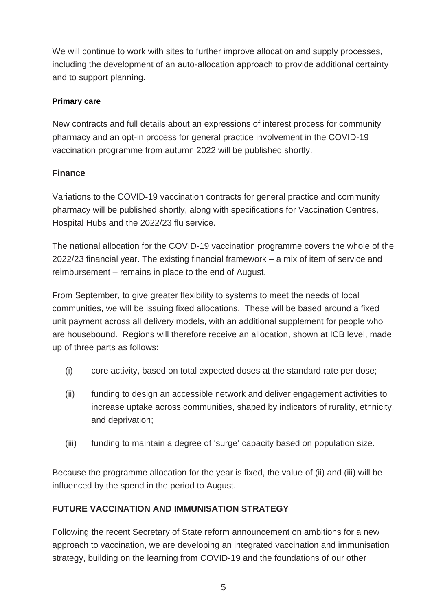We will continue to work with sites to further improve allocation and supply processes, including the development of an auto-allocation approach to provide additional certainty and to support planning.

## **Primary care**

New contracts and full details about an expressions of interest process for community pharmacy and an opt-in process for general practice involvement in the COVID-19 vaccination programme from autumn 2022 will be published shortly.

# **Finance**

Variations to the COVID-19 vaccination contracts for general practice and community pharmacy will be published shortly, along with specifications for Vaccination Centres, Hospital Hubs and the 2022/23 flu service.

The national allocation for the COVID-19 vaccination programme covers the whole of the 2022/23 financial year. The existing financial framework – a mix of item of service and reimbursement – remains in place to the end of August.

From September, to give greater flexibility to systems to meet the needs of local communities, we will be issuing fixed allocations. These will be based around a fixed unit payment across all delivery models, with an additional supplement for people who are housebound. Regions will therefore receive an allocation, shown at ICB level, made up of three parts as follows:

- (i) core activity, based on total expected doses at the standard rate per dose;
- (ii) funding to design an accessible network and deliver engagement activities to increase uptake across communities, shaped by indicators of rurality, ethnicity, and deprivation;
- (iii) funding to maintain a degree of 'surge' capacity based on population size.

Because the programme allocation for the year is fixed, the value of (ii) and (iii) will be influenced by the spend in the period to August.

# **FUTURE VACCINATION AND IMMUNISATION STRATEGY**

Following the recent Secretary of State reform announcement on ambitions for a new approach to vaccination, we are developing an integrated vaccination and immunisation strategy, building on the learning from COVID-19 and the foundations of our other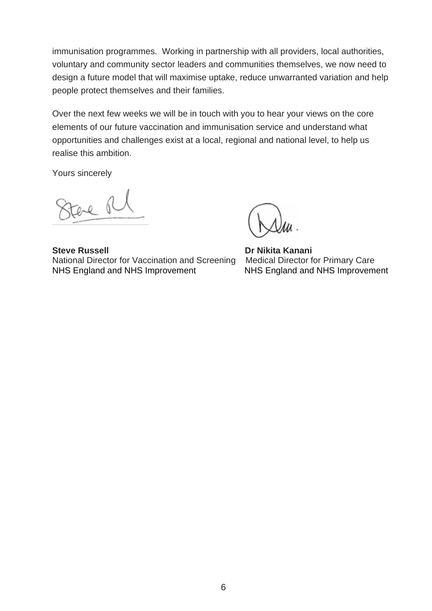immunisation programmes. Working in partnership with all providers, local authorities, voluntary and community sector leaders and communities themselves, we now need to design a future model that will maximise uptake, reduce unwarranted variation and help people protect themselves and their families.

Over the next few weeks we will be in touch with you to hear your views on the core elements of our future vaccination and immunisation service and understand what opportunities and challenges exist at a local, regional and national level, to help us realise this ambition.

Yours sincerely

tere Rl

**Steve Russell Communist Communist Communist Communist Communist Communist Communist Communist Communist Communist Communist Communist Communist Communist Communist Communist Communist Communist Communist Communist Communi** National Director for Vaccination and Screening Medical Director for Primary Care NHS England and NHS Improvement NHS England and NHS Improvement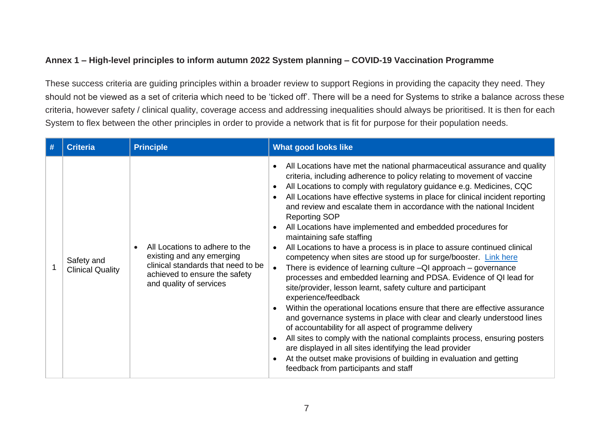## **Annex 1 – High-level principles to inform autumn 2022 System planning – COVID-19 Vaccination Programme**

These success criteria are guiding principles within a broader review to support Regions in providing the capacity they need. They should not be viewed as a set of criteria which need to be 'ticked off'. There will be a need for Systems to strike a balance across these criteria, however safety / clinical quality, coverage access and addressing inequalities should always be prioritised. It is then for each System to flex between the other principles in order to provide a network that is fit for purpose for their population needs.

| # | <b>Criteria</b>                       | <b>Principle</b>                                                                                                                                              | <b>What good looks like</b>                                                                                                                                                                                                                                                                                                                                                                                                                                                                                                                                                                                                                                                                                                                                                                                                                                                                                                                                                                                                                                                                                                                                                                                                                                                                                                                                                                                            |
|---|---------------------------------------|---------------------------------------------------------------------------------------------------------------------------------------------------------------|------------------------------------------------------------------------------------------------------------------------------------------------------------------------------------------------------------------------------------------------------------------------------------------------------------------------------------------------------------------------------------------------------------------------------------------------------------------------------------------------------------------------------------------------------------------------------------------------------------------------------------------------------------------------------------------------------------------------------------------------------------------------------------------------------------------------------------------------------------------------------------------------------------------------------------------------------------------------------------------------------------------------------------------------------------------------------------------------------------------------------------------------------------------------------------------------------------------------------------------------------------------------------------------------------------------------------------------------------------------------------------------------------------------------|
|   | Safety and<br><b>Clinical Quality</b> | All Locations to adhere to the<br>existing and any emerging<br>clinical standards that need to be<br>achieved to ensure the safety<br>and quality of services | All Locations have met the national pharmaceutical assurance and quality<br>$\bullet$<br>criteria, including adherence to policy relating to movement of vaccine<br>All Locations to comply with regulatory guidance e.g. Medicines, CQC<br>$\bullet$<br>All Locations have effective systems in place for clinical incident reporting<br>and review and escalate them in accordance with the national Incident<br><b>Reporting SOP</b><br>All Locations have implemented and embedded procedures for<br>$\bullet$<br>maintaining safe staffing<br>All Locations to have a process is in place to assure continued clinical<br>competency when sites are stood up for surge/booster. Link here<br>There is evidence of learning culture -QI approach - governance<br>processes and embedded learning and PDSA. Evidence of QI lead for<br>site/provider, lesson learnt, safety culture and participant<br>experience/feedback<br>Within the operational locations ensure that there are effective assurance<br>and governance systems in place with clear and clearly understood lines<br>of accountability for all aspect of programme delivery<br>All sites to comply with the national complaints process, ensuring posters<br>$\bullet$<br>are displayed in all sites identifying the lead provider<br>At the outset make provisions of building in evaluation and getting<br>feedback from participants and staff |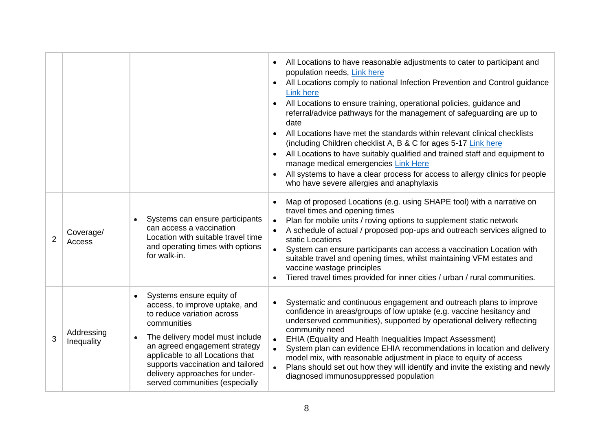|                |                          |                                                                                                                                                                                                                                                                                                                          | All Locations to have reasonable adjustments to cater to participant and<br>$\bullet$<br>population needs, Link here<br>All Locations comply to national Infection Prevention and Control guidance<br><b>Link here</b><br>All Locations to ensure training, operational policies, guidance and<br>$\bullet$<br>referral/advice pathways for the management of safeguarding are up to<br>date<br>All Locations have met the standards within relevant clinical checklists<br>$\bullet$<br>(including Children checklist A, B & C for ages 5-17 Link here<br>All Locations to have suitably qualified and trained staff and equipment to<br>$\bullet$<br>manage medical emergencies Link Here<br>All systems to have a clear process for access to allergy clinics for people<br>who have severe allergies and anaphylaxis |
|----------------|--------------------------|--------------------------------------------------------------------------------------------------------------------------------------------------------------------------------------------------------------------------------------------------------------------------------------------------------------------------|--------------------------------------------------------------------------------------------------------------------------------------------------------------------------------------------------------------------------------------------------------------------------------------------------------------------------------------------------------------------------------------------------------------------------------------------------------------------------------------------------------------------------------------------------------------------------------------------------------------------------------------------------------------------------------------------------------------------------------------------------------------------------------------------------------------------------|
| $\overline{2}$ | Coverage/<br>Access      | Systems can ensure participants<br>can access a vaccination<br>Location with suitable travel time<br>and operating times with options<br>for walk-in.                                                                                                                                                                    | Map of proposed Locations (e.g. using SHAPE tool) with a narrative on<br>$\bullet$<br>travel times and opening times<br>Plan for mobile units / roving options to supplement static network<br>$\bullet$<br>A schedule of actual / proposed pop-ups and outreach services aligned to<br>static Locations<br>System can ensure participants can access a vaccination Location with<br>suitable travel and opening times, whilst maintaining VFM estates and<br>vaccine wastage principles<br>Tiered travel times provided for inner cities / urban / rural communities.                                                                                                                                                                                                                                                   |
| 3              | Addressing<br>Inequality | Systems ensure equity of<br>access, to improve uptake, and<br>to reduce variation across<br>communities<br>The delivery model must include<br>an agreed engagement strategy<br>applicable to all Locations that<br>supports vaccination and tailored<br>delivery approaches for under-<br>served communities (especially | Systematic and continuous engagement and outreach plans to improve<br>$\bullet$<br>confidence in areas/groups of low uptake (e.g. vaccine hesitancy and<br>underserved communities), supported by operational delivery reflecting<br>community need<br>EHIA (Equality and Health Inequalities Impact Assessment)<br>$\bullet$<br>System plan can evidence EHIA recommendations in location and delivery<br>model mix, with reasonable adjustment in place to equity of access<br>Plans should set out how they will identify and invite the existing and newly<br>diagnosed immunosuppressed population                                                                                                                                                                                                                  |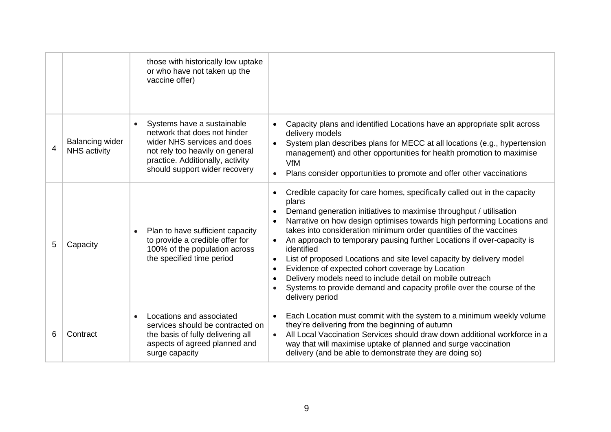|   |                                               | those with historically low uptake<br>or who have not taken up the<br>vaccine offer)                                                                                                                                                                                                                                                                                                                                                                                                                                                                                                                                                                                                                                                                                                                                                                                                                                  |
|---|-----------------------------------------------|-----------------------------------------------------------------------------------------------------------------------------------------------------------------------------------------------------------------------------------------------------------------------------------------------------------------------------------------------------------------------------------------------------------------------------------------------------------------------------------------------------------------------------------------------------------------------------------------------------------------------------------------------------------------------------------------------------------------------------------------------------------------------------------------------------------------------------------------------------------------------------------------------------------------------|
| 4 | <b>Balancing wider</b><br><b>NHS</b> activity | Systems have a sustainable<br>Capacity plans and identified Locations have an appropriate split across<br>$\bullet$<br>$\bullet$<br>network that does not hinder<br>delivery models<br>wider NHS services and does<br>System plan describes plans for MECC at all locations (e.g., hypertension<br>not rely too heavily on general<br>management) and other opportunities for health promotion to maximise<br>practice. Additionally, activity<br><b>VfM</b><br>should support wider recovery<br>Plans consider opportunities to promote and offer other vaccinations<br>$\bullet$                                                                                                                                                                                                                                                                                                                                    |
| 5 | Capacity                                      | Credible capacity for care homes, specifically called out in the capacity<br>$\bullet$<br>plans<br>Demand generation initiatives to maximise throughput / utilisation<br>$\bullet$<br>Narrative on how design optimises towards high performing Locations and<br>$\bullet$<br>takes into consideration minimum order quantities of the vaccines<br>Plan to have sufficient capacity<br>to provide a credible offer for<br>An approach to temporary pausing further Locations if over-capacity is<br>$\bullet$<br>100% of the population across<br>identified<br>the specified time period<br>List of proposed Locations and site level capacity by delivery model<br>$\bullet$<br>Evidence of expected cohort coverage by Location<br>$\bullet$<br>Delivery models need to include detail on mobile outreach<br>$\bullet$<br>Systems to provide demand and capacity profile over the course of the<br>delivery period |
| 6 | Contract                                      | Each Location must commit with the system to a minimum weekly volume<br>Locations and associated<br>$\bullet$<br>$\bullet$<br>they're delivering from the beginning of autumn<br>services should be contracted on<br>All Local Vaccination Services should draw down additional workforce in a<br>the basis of fully delivering all<br>$\bullet$<br>aspects of agreed planned and<br>way that will maximise uptake of planned and surge vaccination<br>delivery (and be able to demonstrate they are doing so)<br>surge capacity                                                                                                                                                                                                                                                                                                                                                                                      |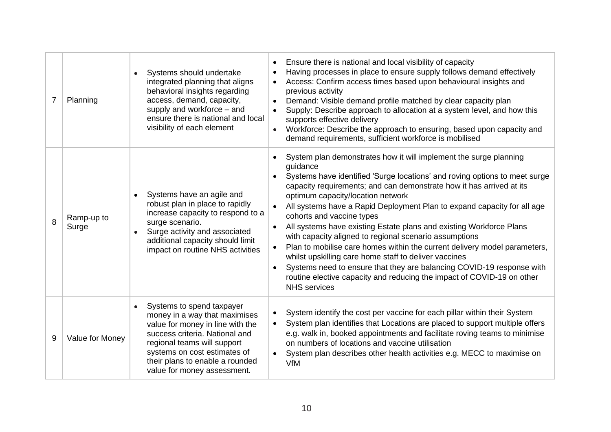| $\overline{7}$ | Planning            | Systems should undertake<br>integrated planning that aligns<br>behavioral insights regarding<br>access, demand, capacity,<br>supply and workforce – and<br>ensure there is national and local<br>visibility of each element                                       | Ensure there is national and local visibility of capacity<br>$\bullet$<br>Having processes in place to ensure supply follows demand effectively<br>$\bullet$<br>Access: Confirm access times based upon behavioural insights and<br>previous activity<br>Demand: Visible demand profile matched by clear capacity plan<br>$\bullet$<br>Supply: Describe approach to allocation at a system level, and how this<br>supports effective delivery<br>Workforce: Describe the approach to ensuring, based upon capacity and<br>demand requirements, sufficient workforce is mobilised                                                                                                                                                                                                                                                                            |
|----------------|---------------------|-------------------------------------------------------------------------------------------------------------------------------------------------------------------------------------------------------------------------------------------------------------------|-------------------------------------------------------------------------------------------------------------------------------------------------------------------------------------------------------------------------------------------------------------------------------------------------------------------------------------------------------------------------------------------------------------------------------------------------------------------------------------------------------------------------------------------------------------------------------------------------------------------------------------------------------------------------------------------------------------------------------------------------------------------------------------------------------------------------------------------------------------|
| 8              | Ramp-up to<br>Surge | Systems have an agile and<br>robust plan in place to rapidly<br>increase capacity to respond to a<br>surge scenario.<br>Surge activity and associated<br>additional capacity should limit<br>impact on routine NHS activities                                     | System plan demonstrates how it will implement the surge planning<br>guidance<br>Systems have identified 'Surge locations' and roving options to meet surge<br>$\bullet$<br>capacity requirements; and can demonstrate how it has arrived at its<br>optimum capacity/location network<br>All systems have a Rapid Deployment Plan to expand capacity for all age<br>cohorts and vaccine types<br>All systems have existing Estate plans and existing Workforce Plans<br>with capacity aligned to regional scenario assumptions<br>Plan to mobilise care homes within the current delivery model parameters,<br>whilst upskilling care home staff to deliver vaccines<br>Systems need to ensure that they are balancing COVID-19 response with<br>$\bullet$<br>routine elective capacity and reducing the impact of COVID-19 on other<br><b>NHS</b> services |
| 9              | Value for Money     | Systems to spend taxpayer<br>money in a way that maximises<br>value for money in line with the<br>success criteria. National and<br>regional teams will support<br>systems on cost estimates of<br>their plans to enable a rounded<br>value for money assessment. | System identify the cost per vaccine for each pillar within their System<br>System plan identifies that Locations are placed to support multiple offers<br>e.g. walk in, booked appointments and facilitate roving teams to minimise<br>on numbers of locations and vaccine utilisation<br>System plan describes other health activities e.g. MECC to maximise on<br>VfM                                                                                                                                                                                                                                                                                                                                                                                                                                                                                    |